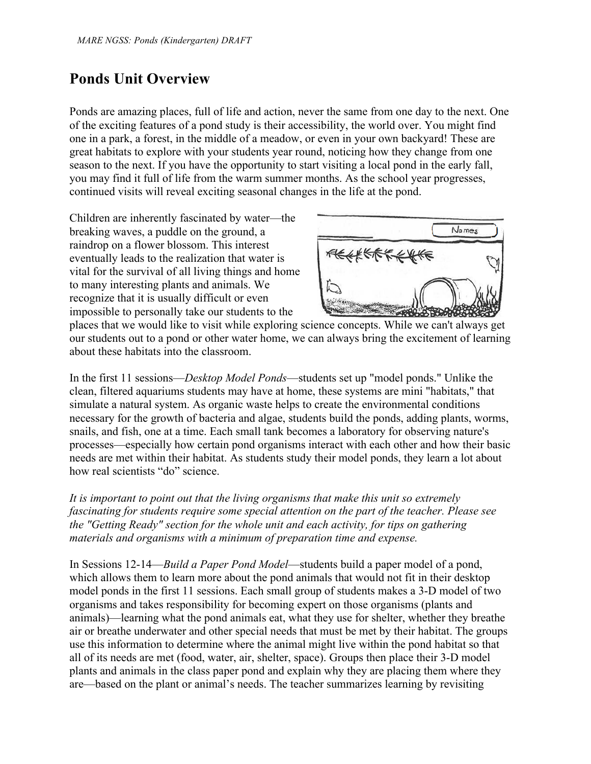# **Ponds Unit Overview**

Ponds are amazing places, full of life and action, never the same from one day to the next. One of the exciting features of a pond study is their accessibility, the world over. You might find one in a park, a forest, in the middle of a meadow, or even in your own backyard! These are great habitats to explore with your students year round, noticing how they change from one season to the next. If you have the opportunity to start visiting a local pond in the early fall, you may find it full of life from the warm summer months. As the school year progresses, continued visits will reveal exciting seasonal changes in the life at the pond.

Children are inherently fascinated by water—the breaking waves, a puddle on the ground, a raindrop on a flower blossom. This interest eventually leads to the realization that water is vital for the survival of all living things and home to many interesting plants and animals. We recognize that it is usually difficult or even impossible to personally take our students to the



places that we would like to visit while exploring science concepts. While we can't always get our students out to a pond or other water home, we can always bring the excitement of learning about these habitats into the classroom.

In the first 11 sessions—*Desktop Model Ponds*—students set up "model ponds." Unlike the clean, filtered aquariums students may have at home, these systems are mini "habitats," that simulate a natural system. As organic waste helps to create the environmental conditions necessary for the growth of bacteria and algae, students build the ponds, adding plants, worms, snails, and fish, one at a time. Each small tank becomes a laboratory for observing nature's processes—especially how certain pond organisms interact with each other and how their basic needs are met within their habitat. As students study their model ponds, they learn a lot about how real scientists "do" science.

*It is important to point out that the living organisms that make this unit so extremely fascinating for students require some special attention on the part of the teacher. Please see the "Getting Ready" section for the whole unit and each activity, for tips on gathering materials and organisms with a minimum of preparation time and expense.* 

In Sessions 12-14—*Build a Paper Pond Model*—students build a paper model of a pond, which allows them to learn more about the pond animals that would not fit in their desktop model ponds in the first 11 sessions. Each small group of students makes a 3-D model of two organisms and takes responsibility for becoming expert on those organisms (plants and animals)—learning what the pond animals eat, what they use for shelter, whether they breathe air or breathe underwater and other special needs that must be met by their habitat. The groups use this information to determine where the animal might live within the pond habitat so that all of its needs are met (food, water, air, shelter, space). Groups then place their 3-D model plants and animals in the class paper pond and explain why they are placing them where they are—based on the plant or animal's needs. The teacher summarizes learning by revisiting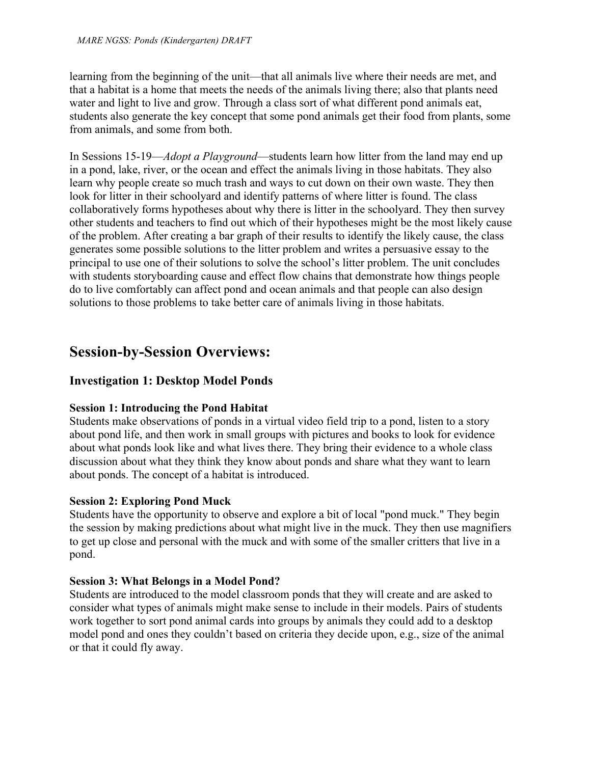learning from the beginning of the unit—that all animals live where their needs are met, and that a habitat is a home that meets the needs of the animals living there; also that plants need water and light to live and grow. Through a class sort of what different pond animals eat, students also generate the key concept that some pond animals get their food from plants, some from animals, and some from both.

In Sessions 15-19—*Adopt a Playground*—students learn how litter from the land may end up in a pond, lake, river, or the ocean and effect the animals living in those habitats. They also learn why people create so much trash and ways to cut down on their own waste. They then look for litter in their schoolyard and identify patterns of where litter is found. The class collaboratively forms hypotheses about why there is litter in the schoolyard. They then survey other students and teachers to find out which of their hypotheses might be the most likely cause of the problem. After creating a bar graph of their results to identify the likely cause, the class generates some possible solutions to the litter problem and writes a persuasive essay to the principal to use one of their solutions to solve the school's litter problem. The unit concludes with students storyboarding cause and effect flow chains that demonstrate how things people do to live comfortably can affect pond and ocean animals and that people can also design solutions to those problems to take better care of animals living in those habitats.

# **Session-by-Session Overviews:**

## **Investigation 1: Desktop Model Ponds**

## **Session 1: Introducing the Pond Habitat**

Students make observations of ponds in a virtual video field trip to a pond, listen to a story about pond life, and then work in small groups with pictures and books to look for evidence about what ponds look like and what lives there. They bring their evidence to a whole class discussion about what they think they know about ponds and share what they want to learn about ponds. The concept of a habitat is introduced.

## **Session 2: Exploring Pond Muck**

Students have the opportunity to observe and explore a bit of local "pond muck." They begin the session by making predictions about what might live in the muck. They then use magnifiers to get up close and personal with the muck and with some of the smaller critters that live in a pond.

## **Session 3: What Belongs in a Model Pond?**

Students are introduced to the model classroom ponds that they will create and are asked to consider what types of animals might make sense to include in their models. Pairs of students work together to sort pond animal cards into groups by animals they could add to a desktop model pond and ones they couldn't based on criteria they decide upon, e.g., size of the animal or that it could fly away.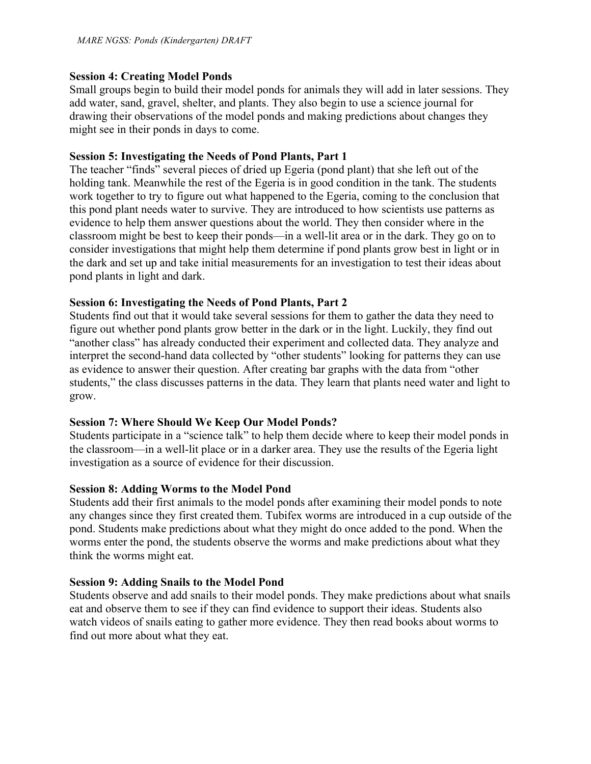## **Session 4: Creating Model Ponds**

Small groups begin to build their model ponds for animals they will add in later sessions. They add water, sand, gravel, shelter, and plants. They also begin to use a science journal for drawing their observations of the model ponds and making predictions about changes they might see in their ponds in days to come.

## **Session 5: Investigating the Needs of Pond Plants, Part 1**

The teacher "finds" several pieces of dried up Egeria (pond plant) that she left out of the holding tank. Meanwhile the rest of the Egeria is in good condition in the tank. The students work together to try to figure out what happened to the Egeria, coming to the conclusion that this pond plant needs water to survive. They are introduced to how scientists use patterns as evidence to help them answer questions about the world. They then consider where in the classroom might be best to keep their ponds—in a well-lit area or in the dark. They go on to consider investigations that might help them determine if pond plants grow best in light or in the dark and set up and take initial measurements for an investigation to test their ideas about pond plants in light and dark.

## **Session 6: Investigating the Needs of Pond Plants, Part 2**

Students find out that it would take several sessions for them to gather the data they need to figure out whether pond plants grow better in the dark or in the light. Luckily, they find out "another class" has already conducted their experiment and collected data. They analyze and interpret the second-hand data collected by "other students" looking for patterns they can use as evidence to answer their question. After creating bar graphs with the data from "other students," the class discusses patterns in the data. They learn that plants need water and light to grow.

## **Session 7: Where Should We Keep Our Model Ponds?**

Students participate in a "science talk" to help them decide where to keep their model ponds in the classroom—in a well-lit place or in a darker area. They use the results of the Egeria light investigation as a source of evidence for their discussion.

## **Session 8: Adding Worms to the Model Pond**

Students add their first animals to the model ponds after examining their model ponds to note any changes since they first created them. Tubifex worms are introduced in a cup outside of the pond. Students make predictions about what they might do once added to the pond. When the worms enter the pond, the students observe the worms and make predictions about what they think the worms might eat.

## **Session 9: Adding Snails to the Model Pond**

Students observe and add snails to their model ponds. They make predictions about what snails eat and observe them to see if they can find evidence to support their ideas. Students also watch videos of snails eating to gather more evidence. They then read books about worms to find out more about what they eat.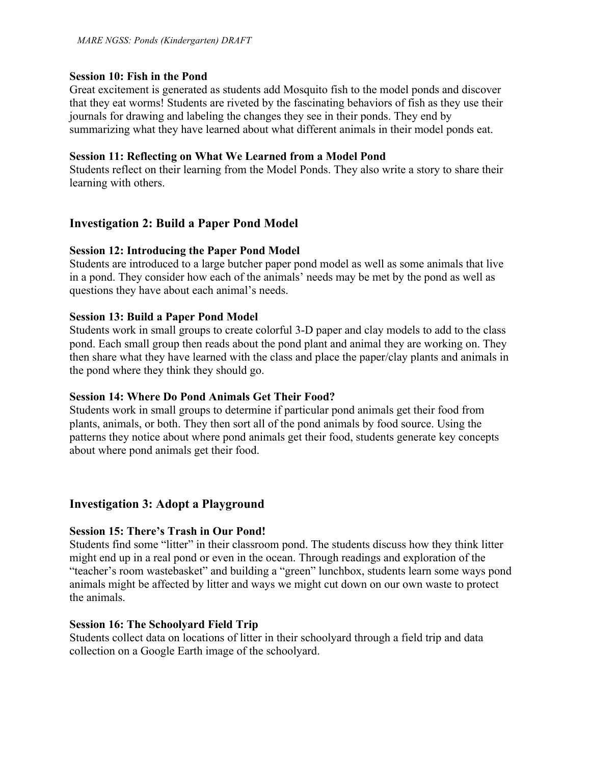### **Session 10: Fish in the Pond**

Great excitement is generated as students add Mosquito fish to the model ponds and discover that they eat worms! Students are riveted by the fascinating behaviors of fish as they use their journals for drawing and labeling the changes they see in their ponds. They end by summarizing what they have learned about what different animals in their model ponds eat.

#### **Session 11: Reflecting on What We Learned from a Model Pond**

Students reflect on their learning from the Model Ponds. They also write a story to share their learning with others.

## **Investigation 2: Build a Paper Pond Model**

### **Session 12: Introducing the Paper Pond Model**

Students are introduced to a large butcher paper pond model as well as some animals that live in a pond. They consider how each of the animals' needs may be met by the pond as well as questions they have about each animal's needs.

#### **Session 13: Build a Paper Pond Model**

Students work in small groups to create colorful 3-D paper and clay models to add to the class pond. Each small group then reads about the pond plant and animal they are working on. They then share what they have learned with the class and place the paper/clay plants and animals in the pond where they think they should go.

### **Session 14: Where Do Pond Animals Get Their Food?**

Students work in small groups to determine if particular pond animals get their food from plants, animals, or both. They then sort all of the pond animals by food source. Using the patterns they notice about where pond animals get their food, students generate key concepts about where pond animals get their food.

### **Investigation 3: Adopt a Playground**

### **Session 15: There's Trash in Our Pond!**

Students find some "litter" in their classroom pond. The students discuss how they think litter might end up in a real pond or even in the ocean. Through readings and exploration of the "teacher's room wastebasket" and building a "green" lunchbox, students learn some ways pond animals might be affected by litter and ways we might cut down on our own waste to protect the animals.

#### **Session 16: The Schoolyard Field Trip**

Students collect data on locations of litter in their schoolyard through a field trip and data collection on a Google Earth image of the schoolyard.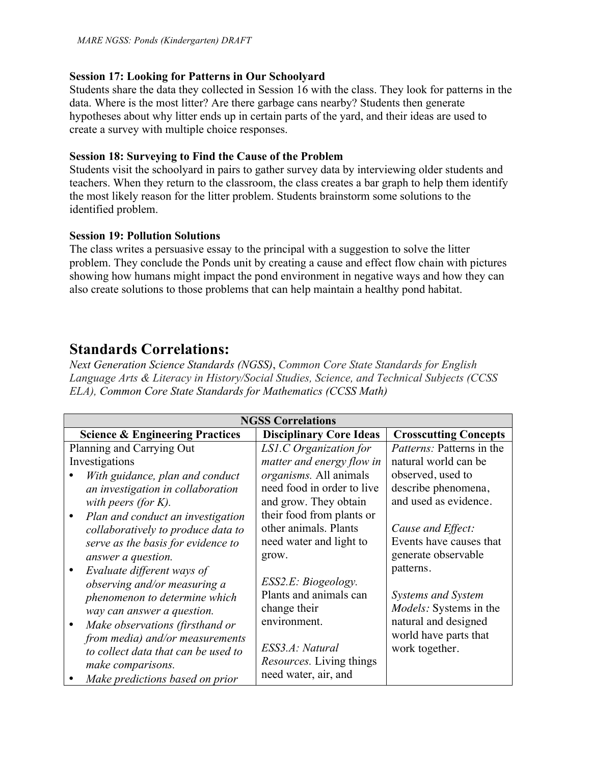## **Session 17: Looking for Patterns in Our Schoolyard**

Students share the data they collected in Session 16 with the class. They look for patterns in the data. Where is the most litter? Are there garbage cans nearby? Students then generate hypotheses about why litter ends up in certain parts of the yard, and their ideas are used to create a survey with multiple choice responses.

## **Session 18: Surveying to Find the Cause of the Problem**

Students visit the schoolyard in pairs to gather survey data by interviewing older students and teachers. When they return to the classroom, the class creates a bar graph to help them identify the most likely reason for the litter problem. Students brainstorm some solutions to the identified problem.

## **Session 19: Pollution Solutions**

The class writes a persuasive essay to the principal with a suggestion to solve the litter problem. They conclude the Ponds unit by creating a cause and effect flow chain with pictures showing how humans might impact the pond environment in negative ways and how they can also create solutions to those problems that can help maintain a healthy pond habitat.

## **Standards Correlations:**

*Next Generation Science Standards (NGSS)*, *Common Core State Standards for English Language Arts & Literacy in History/Social Studies, Science, and Technical Subjects (CCSS ELA), Common Core State Standards for Mathematics (CCSS Math)*

| <b>NGSS Correlations</b>                   |                                 |                                  |  |  |  |  |
|--------------------------------------------|---------------------------------|----------------------------------|--|--|--|--|
| <b>Science &amp; Engineering Practices</b> | <b>Disciplinary Core Ideas</b>  | <b>Crosscutting Concepts</b>     |  |  |  |  |
| Planning and Carrying Out                  | LS1.C Organization for          | <i>Patterns:</i> Patterns in the |  |  |  |  |
| Investigations                             | matter and energy flow in       | natural world can be             |  |  |  |  |
| With guidance, plan and conduct            | <i>organisms</i> . All animals  | observed, used to                |  |  |  |  |
| an investigation in collaboration          | need food in order to live      | describe phenomena,              |  |  |  |  |
| with peers (for $K$ ).                     | and grow. They obtain           | and used as evidence.            |  |  |  |  |
| Plan and conduct an investigation          | their food from plants or       |                                  |  |  |  |  |
| collaboratively to produce data to         | other animals. Plants           | Cause and Effect:                |  |  |  |  |
| serve as the basis for evidence to         | need water and light to         | Events have causes that          |  |  |  |  |
| answer a question.                         | grow.                           | generate observable              |  |  |  |  |
| Evaluate different ways of                 |                                 | patterns.                        |  |  |  |  |
| observing and/or measuring a               | ESS2.E: Biogeology.             |                                  |  |  |  |  |
| phenomenon to determine which              | Plants and animals can          | Systems and System               |  |  |  |  |
| way can answer a question.                 | change their                    | <i>Models:</i> Systems in the    |  |  |  |  |
| Make observations (firsthand or            | environment.                    | natural and designed             |  |  |  |  |
| from media) and/or measurements            |                                 | world have parts that            |  |  |  |  |
| to collect data that can be used to        | ESS3.A: Natural                 | work together.                   |  |  |  |  |
| make comparisons.                          | <i>Resources.</i> Living things |                                  |  |  |  |  |
| Make predictions based on prior            | need water, air, and            |                                  |  |  |  |  |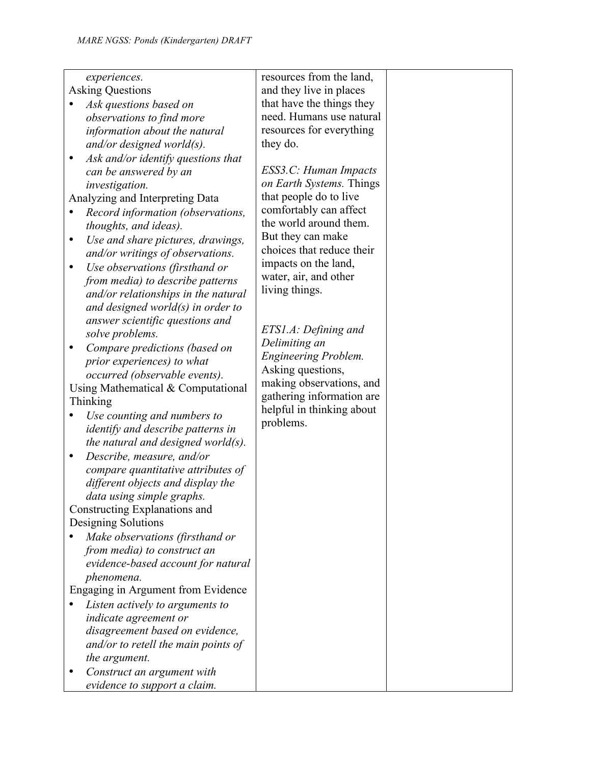*evidence to support a claim.*

| experiences.                             | resources from the land,    |  |
|------------------------------------------|-----------------------------|--|
| <b>Asking Questions</b>                  | and they live in places     |  |
| Ask questions based on                   | that have the things they   |  |
| observations to find more                | need. Humans use natural    |  |
| information about the natural            | resources for everything    |  |
| and/or designed world $(s)$ .            | they do.                    |  |
| Ask and/or identify questions that       |                             |  |
| can be answered by an                    | ESS3.C: Human Impacts       |  |
| investigation.                           | on Earth Systems. Things    |  |
| Analyzing and Interpreting Data          | that people do to live      |  |
| Record information (observations,        | comfortably can affect      |  |
| thoughts, and ideas).                    | the world around them.      |  |
| Use and share pictures, drawings,        | But they can make           |  |
| and/or writings of observations.         | choices that reduce their   |  |
| Use observations (firsthand or<br>٠      | impacts on the land,        |  |
| from media) to describe patterns         | water, air, and other       |  |
| and/or relationships in the natural      | living things.              |  |
| and designed world $(s)$ in order to     |                             |  |
| answer scientific questions and          |                             |  |
| solve problems.                          | ETS1.A: Defining and        |  |
| Compare predictions (based on            | Delimiting an               |  |
| prior experiences) to what               | <b>Engineering Problem.</b> |  |
| occurred (observable events).            | Asking questions,           |  |
| Using Mathematical & Computational       | making observations, and    |  |
| Thinking                                 | gathering information are   |  |
| Use counting and numbers to              | helpful in thinking about   |  |
| <i>identify and describe patterns in</i> | problems.                   |  |
| the natural and designed world $(s)$ .   |                             |  |
| Describe, measure, and/or                |                             |  |
| compare quantitative attributes of       |                             |  |
| different objects and display the        |                             |  |
| data using simple graphs.                |                             |  |
| Constructing Explanations and            |                             |  |
| Designing Solutions                      |                             |  |
| Make observations (firsthand or          |                             |  |
| from media) to construct an              |                             |  |
| evidence-based account for natural       |                             |  |
| phenomena.                               |                             |  |
| Engaging in Argument from Evidence       |                             |  |
| Listen actively to arguments to          |                             |  |
| indicate agreement or                    |                             |  |
| disagreement based on evidence,          |                             |  |
| and/or to retell the main points of      |                             |  |
| the argument.                            |                             |  |
| Construct an argument with               |                             |  |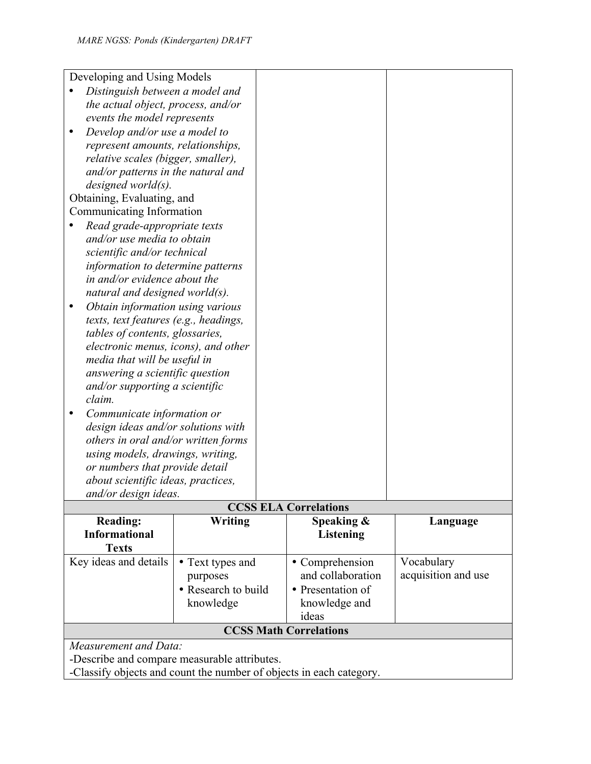| Developing and Using Models                                                                                                                  |                               |               |                   |                     |  |  |  |  |
|----------------------------------------------------------------------------------------------------------------------------------------------|-------------------------------|---------------|-------------------|---------------------|--|--|--|--|
| Distinguish between a model and                                                                                                              |                               |               |                   |                     |  |  |  |  |
| the actual object, process, and/or                                                                                                           |                               |               |                   |                     |  |  |  |  |
| events the model represents                                                                                                                  |                               |               |                   |                     |  |  |  |  |
| $\bullet$                                                                                                                                    | Develop and/or use a model to |               |                   |                     |  |  |  |  |
| represent amounts, relationships,                                                                                                            |                               |               |                   |                     |  |  |  |  |
| relative scales (bigger, smaller),                                                                                                           |                               |               |                   |                     |  |  |  |  |
| and/or patterns in the natural and                                                                                                           |                               |               |                   |                     |  |  |  |  |
| $designed$ world $(s)$ .                                                                                                                     |                               |               |                   |                     |  |  |  |  |
| Obtaining, Evaluating, and                                                                                                                   |                               |               |                   |                     |  |  |  |  |
| Communicating Information                                                                                                                    |                               |               |                   |                     |  |  |  |  |
| Read grade-appropriate texts                                                                                                                 |                               |               |                   |                     |  |  |  |  |
| and/or use media to obtain                                                                                                                   |                               |               |                   |                     |  |  |  |  |
| scientific and/or technical                                                                                                                  |                               |               |                   |                     |  |  |  |  |
| information to determine patterns                                                                                                            |                               |               |                   |                     |  |  |  |  |
| in and/or evidence about the                                                                                                                 |                               |               |                   |                     |  |  |  |  |
| natural and designed world $(s)$ .                                                                                                           |                               |               |                   |                     |  |  |  |  |
| Obtain information using various<br>$\bullet$                                                                                                |                               |               |                   |                     |  |  |  |  |
| texts, text features (e.g., headings,                                                                                                        |                               |               |                   |                     |  |  |  |  |
| tables of contents, glossaries,                                                                                                              |                               |               |                   |                     |  |  |  |  |
| electronic menus, icons), and other                                                                                                          |                               |               |                   |                     |  |  |  |  |
| media that will be useful in                                                                                                                 |                               |               |                   |                     |  |  |  |  |
| answering a scientific question                                                                                                              |                               |               |                   |                     |  |  |  |  |
| and/or supporting a scientific<br>claim.                                                                                                     |                               |               |                   |                     |  |  |  |  |
| Communicate information or                                                                                                                   |                               |               |                   |                     |  |  |  |  |
| design ideas and/or solutions with                                                                                                           |                               |               |                   |                     |  |  |  |  |
| others in oral and/or written forms                                                                                                          |                               |               |                   |                     |  |  |  |  |
| using models, drawings, writing,                                                                                                             |                               |               |                   |                     |  |  |  |  |
| or numbers that provide detail                                                                                                               |                               |               |                   |                     |  |  |  |  |
| about scientific ideas, practices,                                                                                                           |                               |               |                   |                     |  |  |  |  |
| and/or design ideas.                                                                                                                         |                               |               |                   |                     |  |  |  |  |
| <b>CCSS ELA Correlations</b>                                                                                                                 |                               |               |                   |                     |  |  |  |  |
| <b>Reading:</b>                                                                                                                              | Writing                       |               | Speaking &        | Language            |  |  |  |  |
| <b>Informational</b>                                                                                                                         |                               |               | <b>Listening</b>  |                     |  |  |  |  |
| <b>Texts</b>                                                                                                                                 |                               |               |                   |                     |  |  |  |  |
| Key ideas and details                                                                                                                        | • Text types and              |               | • Comprehension   | Vocabulary          |  |  |  |  |
|                                                                                                                                              | purposes                      |               | and collaboration | acquisition and use |  |  |  |  |
|                                                                                                                                              | • Research to build           |               | • Presentation of |                     |  |  |  |  |
| knowledge                                                                                                                                    |                               | knowledge and |                   |                     |  |  |  |  |
| ideas<br><b>CCSS Math Correlations</b>                                                                                                       |                               |               |                   |                     |  |  |  |  |
|                                                                                                                                              |                               |               |                   |                     |  |  |  |  |
|                                                                                                                                              |                               |               |                   |                     |  |  |  |  |
|                                                                                                                                              |                               |               |                   |                     |  |  |  |  |
| Measurement and Data:<br>-Describe and compare measurable attributes.<br>-Classify objects and count the number of objects in each category. |                               |               |                   |                     |  |  |  |  |